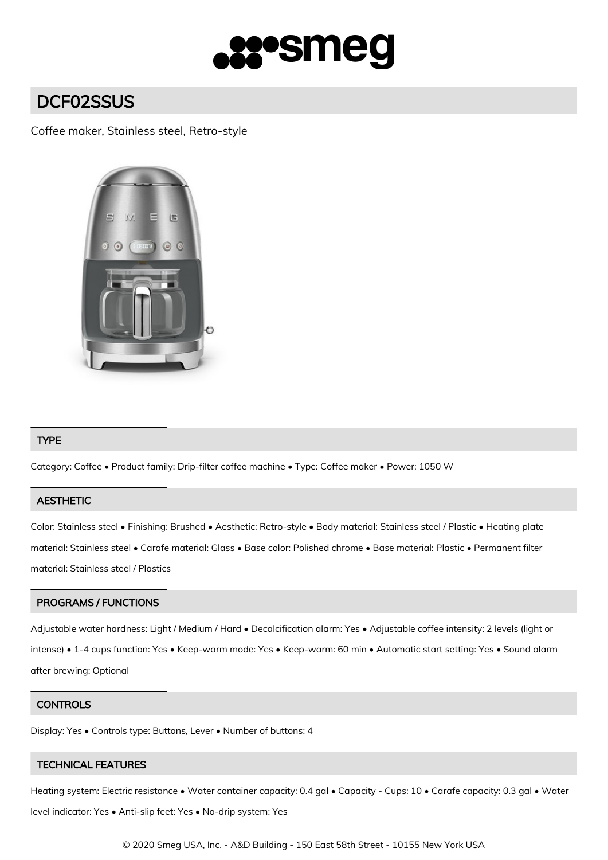

# DCF02SSUS

## Coffee maker, Stainless steel, Retro-style



## TYPE

Category: Coffee • Product family: Drip-filter coffee machine • Type: Coffee maker • Power: 1050 W

## **AESTHETIC**

Color: Stainless steel • Finishing: Brushed • Aesthetic: Retro-style • Body material: Stainless steel / Plastic • Heating plate material: Stainless steel • Carafe material: Glass • Base color: Polished chrome • Base material: Plastic • Permanent filter material: Stainless steel / Plastics

### PROGRAMS / FUNCTIONS

Adjustable water hardness: Light / Medium / Hard • Decalcification alarm: Yes • Adjustable coffee intensity: 2 levels (light or intense) • 1-4 cups function: Yes • Keep-warm mode: Yes • Keep-warm: 60 min • Automatic start setting: Yes • Sound alarm after brewing: Optional

#### **CONTROLS**

Display: Yes • Controls type: Buttons, Lever • Number of buttons: 4

## TECHNICAL FEATURES

Heating system: Electric resistance • Water container capacity: 0.4 gal • Capacity - Cups: 10 • Carafe capacity: 0.3 gal • Water level indicator: Yes • Anti-slip feet: Yes • No-drip system: Yes

© 2020 Smeg USA, Inc. - A&D Building - 150 East 58th Street - 10155 New York USA